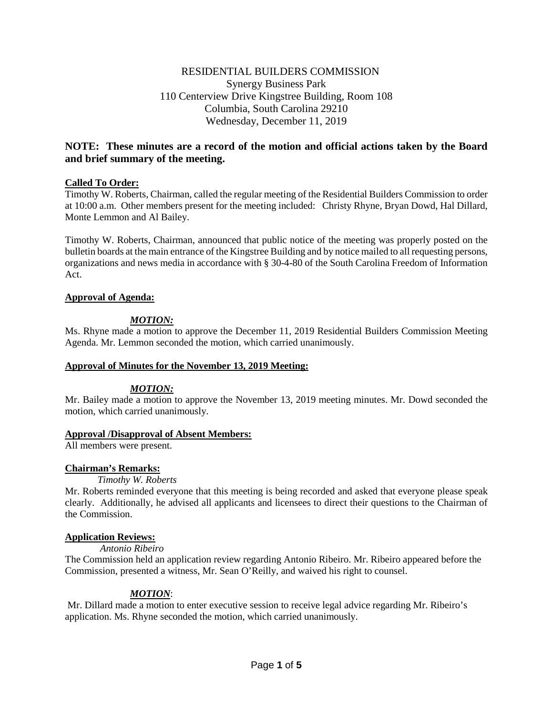# RESIDENTIAL BUILDERS COMMISSION Synergy Business Park 110 Centerview Drive Kingstree Building, Room 108 Columbia, South Carolina 29210 Wednesday, December 11, 2019

# **NOTE: These minutes are a record of the motion and official actions taken by the Board and brief summary of the meeting.**

# **Called To Order:**

Timothy W. Roberts, Chairman, called the regular meeting of the Residential Builders Commission to order at 10:00 a.m. Other members present for the meeting included: Christy Rhyne, Bryan Dowd, Hal Dillard, Monte Lemmon and Al Bailey.

Timothy W. Roberts, Chairman, announced that public notice of the meeting was properly posted on the bulletin boards at the main entrance of the Kingstree Building and by notice mailed to all requesting persons, organizations and news media in accordance with § 30-4-80 of the South Carolina Freedom of Information Act.

# **Approval of Agenda:**

# *MOTION:*

Ms. Rhyne made a motion to approve the December 11, 2019 Residential Builders Commission Meeting Agenda. Mr. Lemmon seconded the motion, which carried unanimously.

# **Approval of Minutes for the November 13, 2019 Meeting:**

# *MOTION:*

Mr. Bailey made a motion to approve the November 13, 2019 meeting minutes. Mr. Dowd seconded the motion, which carried unanimously.

# **Approval /Disapproval of Absent Members:**

All members were present.

# **Chairman's Remarks:**

# *Timothy W. Roberts*

Mr. Roberts reminded everyone that this meeting is being recorded and asked that everyone please speak clearly. Additionally, he advised all applicants and licensees to direct their questions to the Chairman of the Commission.

# **Application Reviews:**

*Antonio Ribeiro*

The Commission held an application review regarding Antonio Ribeiro. Mr. Ribeiro appeared before the Commission, presented a witness, Mr. Sean O'Reilly, and waived his right to counsel.

# *MOTION*:

Mr. Dillard made a motion to enter executive session to receive legal advice regarding Mr. Ribeiro's application. Ms. Rhyne seconded the motion, which carried unanimously.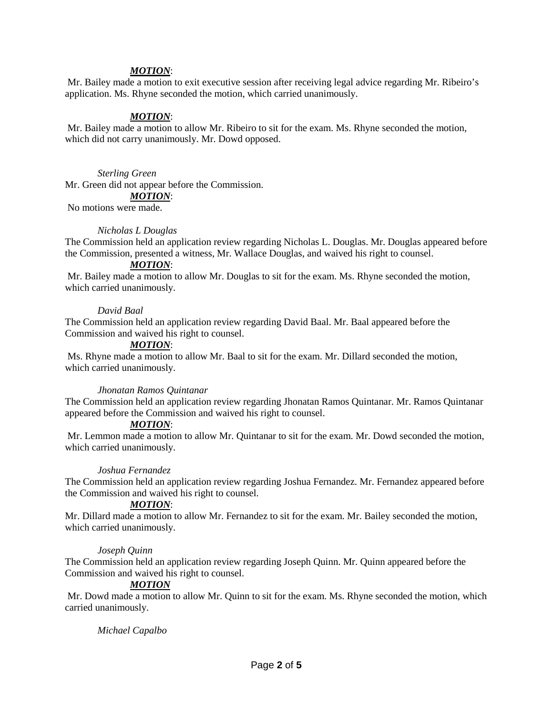#### *MOTION*:

Mr. Bailey made a motion to exit executive session after receiving legal advice regarding Mr. Ribeiro's application. Ms. Rhyne seconded the motion, which carried unanimously.

#### *MOTION*:

Mr. Bailey made a motion to allow Mr. Ribeiro to sit for the exam. Ms. Rhyne seconded the motion, which did not carry unanimously. Mr. Dowd opposed.

#### *Sterling Green*

Mr. Green did not appear before the Commission.

#### *MOTION*:

No motions were made.

#### *Nicholas L Douglas*

The Commission held an application review regarding Nicholas L. Douglas. Mr. Douglas appeared before the Commission, presented a witness, Mr. Wallace Douglas, and waived his right to counsel.

#### *MOTION*:

Mr. Bailey made a motion to allow Mr. Douglas to sit for the exam. Ms. Rhyne seconded the motion, which carried unanimously.

#### *David Baal*

The Commission held an application review regarding David Baal. Mr. Baal appeared before the Commission and waived his right to counsel.

#### *MOTION*:

Ms. Rhyne made a motion to allow Mr. Baal to sit for the exam. Mr. Dillard seconded the motion, which carried unanimously.

#### *Jhonatan Ramos Quintanar*

The Commission held an application review regarding Jhonatan Ramos Quintanar. Mr. Ramos Quintanar appeared before the Commission and waived his right to counsel.

#### *MOTION*:

Mr. Lemmon made a motion to allow Mr. Quintanar to sit for the exam. Mr. Dowd seconded the motion, which carried unanimously.

#### *Joshua Fernandez*

The Commission held an application review regarding Joshua Fernandez. Mr. Fernandez appeared before the Commission and waived his right to counsel.

#### *MOTION*:

Mr. Dillard made a motion to allow Mr. Fernandez to sit for the exam. Mr. Bailey seconded the motion, which carried unanimously.

#### *Joseph Quinn*

The Commission held an application review regarding Joseph Quinn. Mr. Quinn appeared before the Commission and waived his right to counsel.

# *MOTION*

Mr. Dowd made a motion to allow Mr. Quinn to sit for the exam. Ms. Rhyne seconded the motion, which carried unanimously.

# *Michael Capalbo*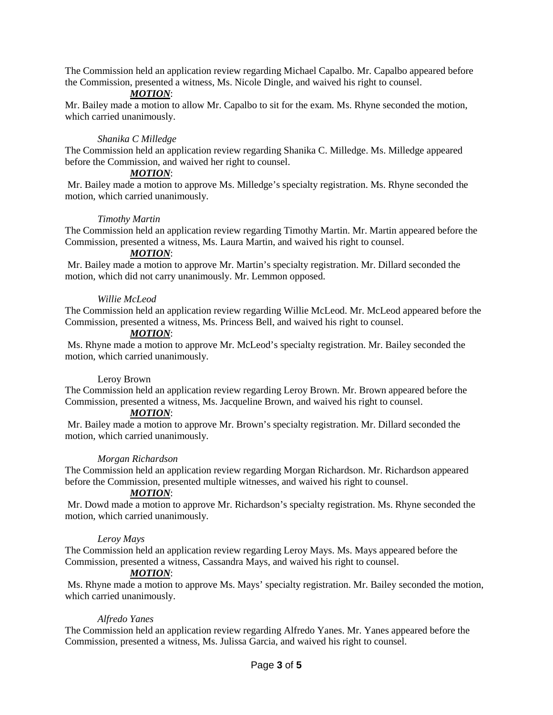The Commission held an application review regarding Michael Capalbo. Mr. Capalbo appeared before the Commission, presented a witness, Ms. Nicole Dingle, and waived his right to counsel.

# *MOTION*:

Mr. Bailey made a motion to allow Mr. Capalbo to sit for the exam. Ms. Rhyne seconded the motion, which carried unanimously.

# *Shanika C Milledge*

The Commission held an application review regarding Shanika C. Milledge. Ms. Milledge appeared before the Commission, and waived her right to counsel.

# *MOTION*:

Mr. Bailey made a motion to approve Ms. Milledge's specialty registration. Ms. Rhyne seconded the motion, which carried unanimously.

# *Timothy Martin*

The Commission held an application review regarding Timothy Martin. Mr. Martin appeared before the Commission, presented a witness, Ms. Laura Martin, and waived his right to counsel.

# *MOTION*:

Mr. Bailey made a motion to approve Mr. Martin's specialty registration. Mr. Dillard seconded the motion, which did not carry unanimously. Mr. Lemmon opposed.

# *Willie McLeod*

The Commission held an application review regarding Willie McLeod. Mr. McLeod appeared before the Commission, presented a witness, Ms. Princess Bell, and waived his right to counsel.

# *MOTION*:

Ms. Rhyne made a motion to approve Mr. McLeod's specialty registration. Mr. Bailey seconded the motion, which carried unanimously.

# Leroy Brown

The Commission held an application review regarding Leroy Brown. Mr. Brown appeared before the Commission, presented a witness, Ms. Jacqueline Brown, and waived his right to counsel.

# *MOTION*:

Mr. Bailey made a motion to approve Mr. Brown's specialty registration. Mr. Dillard seconded the motion, which carried unanimously.

# *Morgan Richardson*

The Commission held an application review regarding Morgan Richardson. Mr. Richardson appeared before the Commission, presented multiple witnesses, and waived his right to counsel.

# *MOTION*:

Mr. Dowd made a motion to approve Mr. Richardson's specialty registration. Ms. Rhyne seconded the motion, which carried unanimously.

# *Leroy Mays*

The Commission held an application review regarding Leroy Mays. Ms. Mays appeared before the Commission, presented a witness, Cassandra Mays, and waived his right to counsel.

# *MOTION*:

Ms. Rhyne made a motion to approve Ms. Mays' specialty registration. Mr. Bailey seconded the motion, which carried unanimously.

# *Alfredo Yanes*

The Commission held an application review regarding Alfredo Yanes. Mr. Yanes appeared before the Commission, presented a witness, Ms. Julissa Garcia, and waived his right to counsel.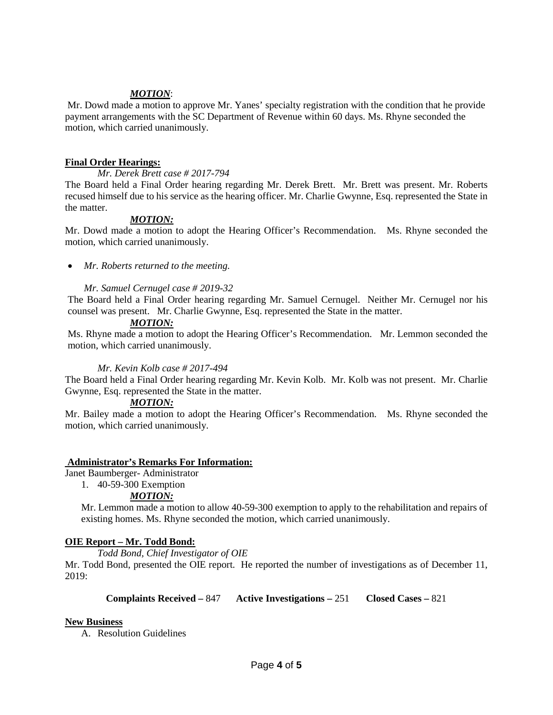# *MOTION*:

Mr. Dowd made a motion to approve Mr. Yanes' specialty registration with the condition that he provide payment arrangements with the SC Department of Revenue within 60 days. Ms. Rhyne seconded the motion, which carried unanimously.

# **Final Order Hearings:**

*Mr. Derek Brett case # 2017-794*

The Board held a Final Order hearing regarding Mr. Derek Brett. Mr. Brett was present. Mr. Roberts recused himself due to his service as the hearing officer. Mr. Charlie Gwynne, Esq. represented the State in the matter.

# *MOTION:*

Mr. Dowd made a motion to adopt the Hearing Officer's Recommendation. Ms. Rhyne seconded the motion, which carried unanimously.

• *Mr. Roberts returned to the meeting.* 

# *Mr. Samuel Cernugel case # 2019-32*

The Board held a Final Order hearing regarding Mr. Samuel Cernugel. Neither Mr. Cernugel nor his counsel was present. Mr. Charlie Gwynne, Esq. represented the State in the matter.

# *MOTION:*

Ms. Rhyne made a motion to adopt the Hearing Officer's Recommendation. Mr. Lemmon seconded the motion, which carried unanimously.

# *Mr. Kevin Kolb case # 2017-494*

The Board held a Final Order hearing regarding Mr. Kevin Kolb. Mr. Kolb was not present. Mr. Charlie Gwynne, Esq. represented the State in the matter.

# *MOTION:*

Mr. Bailey made a motion to adopt the Hearing Officer's Recommendation. Ms. Rhyne seconded the motion, which carried unanimously.

# **Administrator's Remarks For Information:**

Janet Baumberger- Administrator

1. 40-59-300 Exemption

# *MOTION:*

Mr. Lemmon made a motion to allow 40-59-300 exemption to apply to the rehabilitation and repairs of existing homes. Ms. Rhyne seconded the motion, which carried unanimously.

# **OIE Report – Mr. Todd Bond:**

*Todd Bond, Chief Investigator of OIE*

Mr. Todd Bond, presented the OIE report. He reported the number of investigations as of December 11, 2019:

**Complaints Received –** 847 **Active Investigations –** 251 **Closed Cases –** 821

# **New Business**

A. Resolution Guidelines